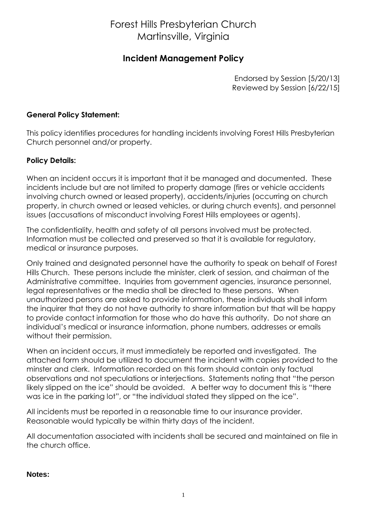# Forest Hills Presbyterian Church Martinsville, Virginia

## **Incident Management Policy**

Endorsed by Session [5/20/13] Reviewed by Session [6/22/15]

#### **General Policy Statement:**

This policy identifies procedures for handling incidents involving Forest Hills Presbyterian Church personnel and/or property.

### **Policy Details:**

When an incident occurs it is important that it be managed and documented. These incidents include but are not limited to property damage (fires or vehicle accidents involving church owned or leased property), accidents/injuries (occurring on church property, in church owned or leased vehicles, or during church events), and personnel issues (accusations of misconduct involving Forest Hills employees or agents).

The confidentiality, health and safety of all persons involved must be protected. Information must be collected and preserved so that it is available for regulatory, medical or insurance purposes.

Only trained and designated personnel have the authority to speak on behalf of Forest Hills Church. These persons include the minister, clerk of session, and chairman of the Administrative committee. Inquiries from government agencies, insurance personnel, legal representatives or the media shall be directed to these persons. When unauthorized persons are asked to provide information, these individuals shall inform the inquirer that they do not have authority to share information but that will be happy to provide contact information for those who do have this authority. Do not share an individual's medical or insurance information, phone numbers, addresses or emails without their permission.

When an incident occurs, it must immediately be reported and investigated. The attached form should be utilized to document the incident with copies provided to the minster and clerk. Information recorded on this form should contain only factual observations and not speculations or interjections. Statements noting that "the person likely slipped on the ice" should be avoided. A better way to document this is "there was ice in the parking lot", or "the individual stated they slipped on the ice".

All incidents must be reported in a reasonable time to our insurance provider. Reasonable would typically be within thirty days of the incident.

All documentation associated with incidents shall be secured and maintained on file in the church office.

#### **Notes:**